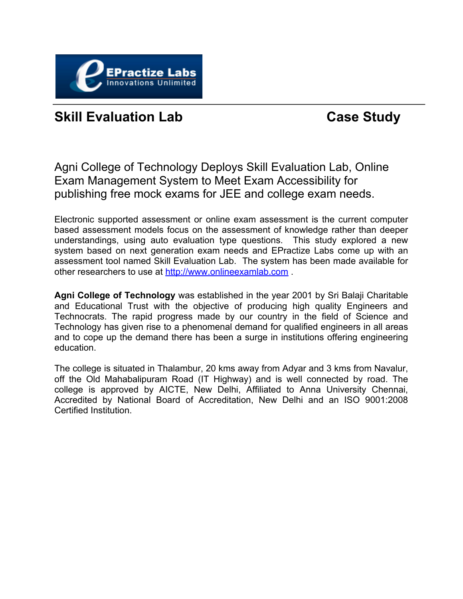

#### **Skill Evaluation Lab Case Study**

Agni College of Technology Deploys Skill Evaluation Lab, Online Exam Management System to Meet Exam Accessibility for publishing free mock exams for JEE and college exam needs.

Electronic supported assessment or online exam assessment is the current computer based assessment models focus on the assessment of knowledge rather than deeper understandings, using auto evaluation type questions. This study explored a new system based on next generation exam needs and EPractize Labs come up with an assessment tool named Skill Evaluation Lab. The system has been made available for other researchers to use at <http://www.onlineexamlab.com> .

**Agni College of Technology** was established in the year 2001 by Sri Balaji Charitable and Educational Trust with the objective of producing high quality Engineers and Technocrats. The rapid progress made by our country in the field of Science and Technology has given rise to a phenomenal demand for qualified engineers in all areas and to cope up the demand there has been a surge in institutions offering engineering education.

The college is situated in Thalambur, 20 kms away from Adyar and 3 kms from Navalur, off the Old Mahabalipuram Road (IT Highway) and is well connected by road. The college is approved by AICTE, New Delhi, Affiliated to Anna University Chennai, Accredited by National Board of Accreditation, New Delhi and an ISO 9001:2008 Certified Institution.